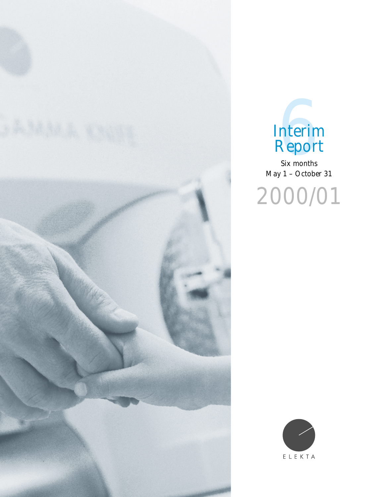



Six months May 1 – October 31

2000/01

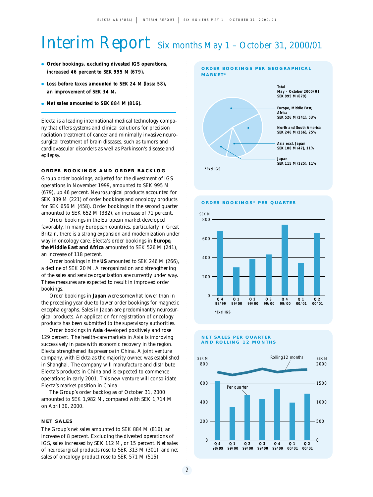# Interim Report Six months May 1 – October 31, 2000/01

- **Order bookings, excluding divested IGS operations, increased 46 percent to SEK 995 M (679).**
- **Loss before taxes amounted to SEK 24 M (loss: 58), an improvement of SEK 34 M.**
- **Net sales amounted to SEK 884 M (816).**

Elekta is a leading international medical technology company that offers systems and clinical solutions for precision radiation treatment of cancer and minimally invasive neurosurgical treatment of brain diseases, such as tumors and cardiovascular disorders as well as Parkinson's disease and epilepsy.

# **ORDER BOOKINGS AND ORDER BACKLOG**

Group order bookings, adjusted for the divestment of IGS operations in November 1999, amounted to SEK 995 M (679), up 46 percent. Neurosurgical products accounted for SEK 339 M (221) of order bookings and oncology products for SEK 656 M (458). Order bookings in the second quarter amounted to SEK 652 M (382), an increase of 71 percent.

Order bookings in the European market developed favorably. In many European countries, particularly in Great Britain, there is a strong expansion and modernization under way in oncology care. Elekta's order bookings in *Europe, the Middle East and Africa* amounted to SEK 526 M (241), an increase of 118 percent.

Order bookings in the *US* amounted to SEK 246 M (266), a decline of SEK 20 M. A reorganization and strengthening of the sales and service organization are currently under way. These measures are expected to result in improved order bookings.

Order bookings in *Japan* were somewhat lower than in the preceding year due to lower order bookings for magnetic encephalographs. Sales in Japan are predominantly neurosurgical products. An application for registration of oncology products has been submitted to the supervisory authorities.

Order bookings in *Asia* developed positively and rose 129 percent. The health-care markets in Asia is improving successively in pace with economic recovery in the region. Elekta strengthened its presence in China. A joint venture company, with Elekta as the majority owner, was established in Shanghai. The company will manufacture and distribute Elekta's products in China and is expected to commence operations in early 2001. This new venture will consolidate Elekta's market position in China.

The Group's order backlog as of October 31, 2000 amounted to SEK 1,982 M, compared with SEK 1,714 M on April 30, 2000.

### **NET SALES**

The Group's net sales amounted to SEK 884 M (816), an increase of 8 percent. Excluding the divested operations of IGS, sales increased by SEK 112 M, or 15 percent. Net sales of neurosurgical products rose to SEK 313 M (301), and net sales of oncology product rose to SEK 571 M (515).



**ORDER BOOKINGS\* PER QUARTER**



#### **NET SALES PER QUARTER AND ROLLING 12 MONTHS**



2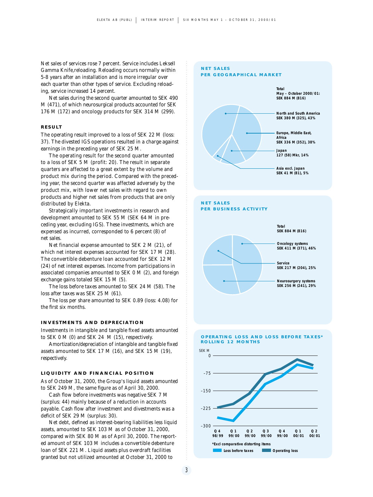Net sales of services rose 7 percent. Service includes Leksell Gamma Knife, reloading. Reloading occurs normally within 5-8 years after an installation and is more irregular over each quarter than other types of service. Excluding reloading, service increased 14 percent.

Net sales during the second quarter amounted to SEK 490 M (471), of which neurosurgical products accounted for SEK 176 M (172) and oncology products for SEK 314 M (299).

# **RESULT**

The operating result improved to a loss of SEK 22 M (loss: 37). The divested IGS operations resulted in a charge against earnings in the preceding year of SEK 25 M.

The operating result for the second quarter amounted to a loss of SEK 5 M (profit: 20). The result in separate quarters are affected to a great extent by the volume and product mix during the period. Compared with the preceding year, the second quarter was affected adversely by the product mix, with lower net sales with regard to own products and higher net sales from products that are only distributed by Elekta.

Strategically important investments in research and development amounted to SEK 55 M (SEK 64 M in preceding year, excluding IGS). These investments, which are expensed as incurred, corresponded to 6 percent (8) of net sales.

Net financial expense amounted to SEK 2 M (21), of which net interest expenses accounted for SEK 17 M (28). The convertible debenture loan accounted for SEK 12 M (24) of net interest expenses. Income from participations in associated companies amounted to SEK 0 M (2), and foreign exchange gains totaled SEK 15 M (5).

The loss before taxes amounted to SEK 24 M (58). The loss after taxes was SEK 25 M (61).

The loss per share amounted to SEK 0.89 (loss: 4.08) for the first six months.

#### **INVESTMENTS AND DEPRECIATION**

Investments in intangible and tangible fixed assets amounted to SEK 0 M (0) and SEK 24 M (15), respectively.

Amortization/depreciation of intangible and tangible fixed assets amounted to SEK 17 M (16), and SEK 15 M (19), respectively.

#### **LIQUIDITY AND FINANCIAL POSITION**

As of October 31, 2000, the Group's liquid assets amounted to SEK 249 M, the same figure as of April 30, 2000.

Cash flow before investments was negative SEK 7 M (surplus: 44) mainly because of a reduction in accounts payable. Cash flow after investment and divestments was a deficit of SEK 29 M (surplus: 30).

Net debt, defined as interest-bearing liabilities less liquid assets, amounted to SEK 103 M as of October 31, 2000, compared with SEK 80 M as of April 30, 2000. The reported amount of SEK 103 M includes a convertible debenture loan of SEK 221 M. Liquid assets plus overdraft facilities granted but not utilized amounted at October 31, 2000 to

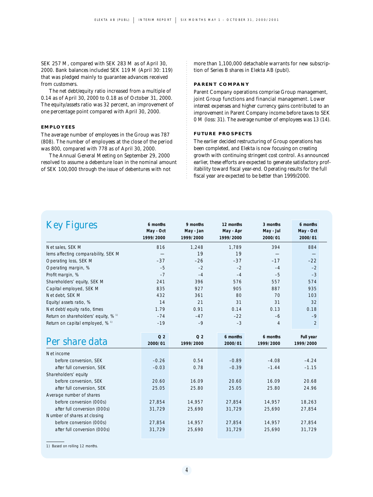SEK 257 M, compared with SEK 283 M as of April 30, 2000. Bank balances included SEK 119 M (April 30: 119) that was pledged mainly to guarantee advances received from customers.

The net debt/equity ratio increased from a multiple of 0.14 as of April 30, 2000 to 0.18 as of October 31, 2000. The equity/assets ratio was 32 percent, an improvement of one percentage point compared with April 30, 2000.

# **EMPLOYEES**

The average number of employees in the Group was 787 (808). The number of employees at the close of the period was 800, compared with 778 as of April 30, 2000.

The Annual General Meeting on September 29, 2000 resolved to assume a debenture loan in the nominal amount of SEK 100,000 through the issue of debentures with not

more than 1,100,000 detachable warrants for new subscription of Series B shares in Elekta AB (publ).

#### **PARENT COMPANY**

Parent Company operations comprise Group management, joint Group functions and financial management. Lower interest expenses and higher currency gains contributed to an improvement in Parent Company income before taxes to SEK 0 M (loss: 31). The average number of employees was 13 (14).

# **FUTURE PROSPECTS**

The earlier decided restructuring of Group operations has been completed, and Elekta is now focusing on creating growth with continuing stringent cost control. As announced earlier, these efforts are expected to generate satisfactory profitability toward fiscal year-end. Operating results for the full fiscal year are expected to be better than 1999/2000.

| <b>Key Figures</b>                              | 6 months<br>May - Oct<br>1999/2000 | 9 months<br>May - Jan<br>1999/2000 | 12 months<br>May - Apr<br>1999/2000 | 3 months<br>May - Jul<br>2000/01 | 6 months<br>May - Oct<br>2000/01 |
|-------------------------------------------------|------------------------------------|------------------------------------|-------------------------------------|----------------------------------|----------------------------------|
| Net sales, SEK M                                | 816                                | 1,248                              | 1,789                               | 394                              | 884                              |
| lems affecting comparability, SEK M             |                                    | 19                                 | 19                                  |                                  |                                  |
| Operating loss, SEK M                           | $-37$                              | $-26$                              | $-37$                               | $-17$                            | $-22$                            |
| Operating margin, %                             | $-5$                               | $-2$                               | $-2$                                | $-4$                             | $-2$                             |
| Profit margin, %                                | $-7$                               | $-4$                               | $-4$                                | $-5$                             | $-3$                             |
| Shareholders' equity, SEK M                     | 241                                | 396                                | 576                                 | 557                              | 574                              |
| Capital employed, SEK M                         | 835                                | 927                                | 905                                 | 887                              | 935                              |
| Net debt, SEK M                                 | 432                                | 361                                | 80                                  | 70                               | 103                              |
| Equity/assets ratio, %                          | 14                                 | 21                                 | 31                                  | 31                               | 32                               |
| Net debt/equity ratio, times                    | 1.79                               | 0.91                               | 0.14                                | 0.13                             | 0.18                             |
| Return on shareholders' equity, % <sup>1)</sup> | $-74$                              | $-47$                              | $-22$                               | -6                               | $-9$                             |
| Return on capital employed, % 1)                | $-19$                              | $-9$                               | $-3$                                | 4                                | $\overline{2}$                   |
| Per share data                                  | Q <sub>2</sub><br>2000/01          | Q <sub>2</sub><br>1999/2000        | 6 months<br>2000/01                 | 6 months<br>1999/2000            | Full year<br>1999/2000           |
| Net income                                      |                                    |                                    |                                     |                                  |                                  |
| before conversion, SEK                          | $-0.26$                            | 0.54                               | $-0.89$                             | $-4.08$                          | $-4.24$                          |
| after full conversion, SEK                      | $-0.03$                            | 0.78                               | $-0.39$                             | $-1.44$                          | $-1.15$                          |
| Shareholders' equity                            |                                    |                                    |                                     |                                  |                                  |
| before conversion, SEK                          | 20.60                              | 16.09                              | 20.60                               | 16.09                            | 20.68                            |
| after full conversion, SEK                      | 25.05                              | 25.80                              | 25.05                               | 25.80                            | 24.96                            |
| Average number of shares                        |                                    |                                    |                                     |                                  |                                  |
| before conversion (000s)                        | 27,854                             | 14,957                             | 27,854                              | 14,957                           | 18,263                           |
| after full conversion (OOOs)                    | 31,729                             | 25,690                             | 31,729                              | 25,690                           | 27,854                           |
| Number of shares at closing                     |                                    |                                    |                                     |                                  |                                  |
| before conversion (000s)                        | 27,854                             | 14,957                             | 27,854                              | 14,957                           | 27,854                           |
| after full conversion (000s)                    | 31,729                             | 25,690                             | 31,729                              | 25,690                           | 31,729                           |

1) Based on rolling 12 months.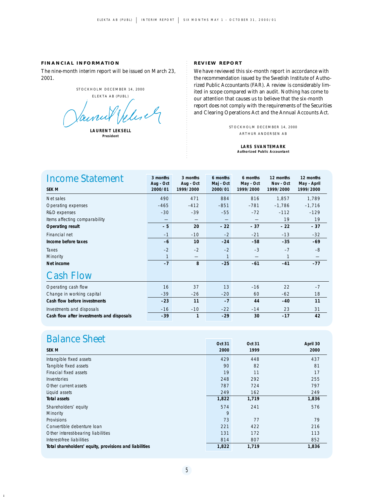# **FINANCIAL INFORMATION**

The nine-month interim report will be issued on March 23, 2001.

STOCKHOLM DECEMBER 14, 2000

ELEKTA AB (PUBL)

elisely aine

**LAURENT LEKSELL President**

#### **REVIEW REPORT**

We have reviewed this six-month report in accordance with the recommendation issued by the Swedish Institute of Authorized Public Accountants (FAR). A review is considerably limited in scope compared with an audit. Nothing has come to our attention that causes us to believe that the six-month report does not comply with the requirements of the Securities and Clearing Operations Act and the Annual Accounts Act.

> STOCKHOLM DECEMBER 14, 2000 ARTHUR ANDERSEN AB

> > **LARS SVANTEMARK Authorized Public Accountant**

| <b>Income Statement</b><br><b>SEK M</b>   | 3 months<br>Aug - Oct<br>2000/01 | 3 months<br>Aug - Oct<br>1999/2000 | 6 months<br>Maj - Oct<br>2000/01 | 6 months<br>May - Oct<br>1999/2000 | 12 months<br>Nov - Oct<br>1999/2000 | 12 months<br>May - April<br>1999/2000 |
|-------------------------------------------|----------------------------------|------------------------------------|----------------------------------|------------------------------------|-------------------------------------|---------------------------------------|
| Net sales                                 | 490                              | 471                                | 884                              | 816                                | 1,857                               | 1,789                                 |
| Operating expenses                        | $-465$                           | $-412$                             | $-851$                           | $-781$                             | $-1,786$                            | $-1,716$                              |
| R&D expenses                              | $-30$                            | $-39$                              | $-55$                            | $-72$                              | $-112$                              | $-129$                                |
| Items affecting comparability             | _                                |                                    |                                  |                                    | 19                                  | 19                                    |
| <b>Operating result</b>                   | - 5                              | 20                                 | $-22$                            | $-37$                              | $-22$                               | $-37$                                 |
| Financial net                             | $-1$                             | $-10$                              | $-2$                             | $-21$                              | $-13$                               | $-32$                                 |
| Income before taxes                       | $-6$                             | 10                                 | $-24$                            | $-58$                              | $-35$                               | $-69$                                 |
| Taxes                                     | $-2$                             | $-2$                               | $-2$                             | $-3$                               | $-7$                                | $-8$                                  |
| Minority                                  | $\mathbf{1}$                     |                                    | $\mathbf{1}$                     |                                    | 1                                   | $\overline{\phantom{0}}$              |
| Net income                                | $-7$                             | 8                                  | $-25$                            | $-61$                              | $-41$                               | $-77$                                 |
| <b>Cash Flow</b>                          |                                  |                                    |                                  |                                    |                                     |                                       |
| Operating cash flow                       | 16                               | 37                                 | 13                               | $-16$                              | 22                                  | $-7$                                  |
| Change in working capital                 | $-39$                            | $-26$                              | $-20$                            | 60                                 | $-62$                               | 18                                    |
| Cash flow before investments              | $-23$                            | 11                                 | $-7$                             | 44                                 | $-40$                               | 11                                    |
| Investments and disposals                 | $-16$                            | $-10$                              | $-22$                            | $-14$                              | 23                                  | 31                                    |
| Cash flow after investments and disposals | $-39$                            | 1                                  | $-29$                            | 30                                 | $-17$                               | 42                                    |

# **Balance Sheet Oct 31** Oct 31 Oct 31 April 30

 $\blacksquare$ 

|                                                        | <b>UUL 3 I</b> | <b>UUL JI</b> | April 30 |
|--------------------------------------------------------|----------------|---------------|----------|
| <b>SEK M</b>                                           | 2000           | 1999          | 2000     |
| Intangible fixed assets                                | 429            | 448           | 437      |
| Tangible fixed assets                                  | 90             | 82            | 81       |
| Finacial fixed assets                                  | 19             | 11            | 17       |
| <b>Inventories</b>                                     | 248            | 292           | 255      |
| Other current assets                                   | 787            | 724           | 797      |
| Liquid assets                                          | 249            | 162           | 249      |
| <b>Total assets</b>                                    | 1,822          | 1,719         | 1,836    |
| Shareholders' equity                                   | 574            | 241           | 576      |
| Minority                                               | 9              |               |          |
| Provisions                                             | 73             | 77            | 79       |
| Convertible debenture loan                             | 221            | 422           | 216      |
| Other interest-bearing liabilities                     | 131            | 172           | 113      |
| Interest-free liabilities                              | 814            | 807           | 852      |
| Total shareholders' equity, provisions and liabilities | 1,822          | 1,719         | 1,836    |